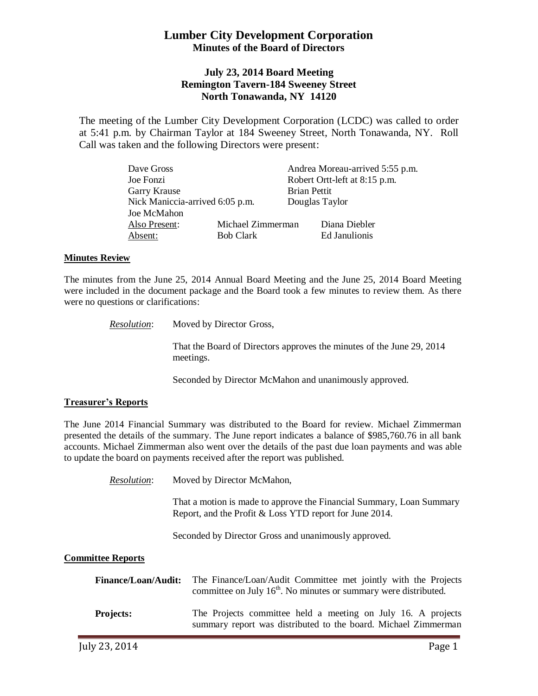# **Lumber City Development Corporation Minutes of the Board of Directors**

# **July 23, 2014 Board Meeting Remington Tavern-184 Sweeney Street North Tonawanda, NY 14120**

The meeting of the Lumber City Development Corporation (LCDC) was called to order at 5:41 p.m. by Chairman Taylor at 184 Sweeney Street, North Tonawanda, NY. Roll Call was taken and the following Directors were present:

| Dave Gross                      |                   |                     | Andrea Moreau-arrived 5:55 p.m. |
|---------------------------------|-------------------|---------------------|---------------------------------|
| Joe Fonzi                       |                   |                     | Robert Ortt-left at 8:15 p.m.   |
| <b>Garry Krause</b>             |                   | <b>Brian Pettit</b> |                                 |
| Nick Maniccia-arrived 6:05 p.m. |                   | Douglas Taylor      |                                 |
| Joe McMahon                     |                   |                     |                                 |
| Also Present:                   | Michael Zimmerman |                     | Diana Diebler                   |
| Absent:                         | <b>Bob Clark</b>  |                     | Ed Janulionis                   |

### **Minutes Review**

The minutes from the June 25, 2014 Annual Board Meeting and the June 25, 2014 Board Meeting were included in the document package and the Board took a few minutes to review them. As there were no questions or clarifications:

> *Resolution*: Moved by Director Gross, That the Board of Directors approves the minutes of the June 29, 2014 meetings.

> > Seconded by Director McMahon and unanimously approved.

### **Treasurer's Reports**

The June 2014 Financial Summary was distributed to the Board for review. Michael Zimmerman presented the details of the summary. The June report indicates a balance of \$985,760.76 in all bank accounts. Michael Zimmerman also went over the details of the past due loan payments and was able to update the board on payments received after the report was published.

*Resolution*: Moved by Director McMahon,

That a motion is made to approve the Financial Summary, Loan Summary Report, and the Profit & Loss YTD report for June 2014.

Seconded by Director Gross and unanimously approved.

## **Committee Reports**

| <b>Finance/Loan/Audit:</b> | The Finance/Loan/Audit Committee met jointly with the Projects<br>committee on July $16th$ . No minutes or summary were distributed. |
|----------------------------|--------------------------------------------------------------------------------------------------------------------------------------|
| <b>Projects:</b>           | The Projects committee held a meeting on July 16. A projects<br>summary report was distributed to the board. Michael Zimmerman       |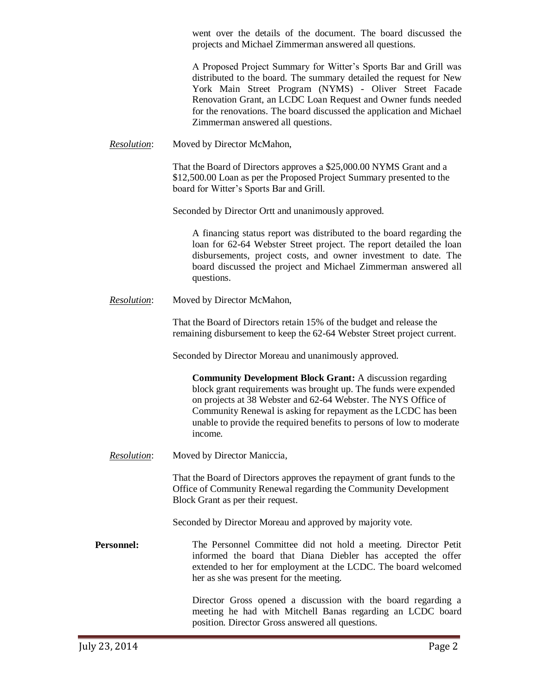went over the details of the document. The board discussed the projects and Michael Zimmerman answered all questions.

A Proposed Project Summary for Witter's Sports Bar and Grill was distributed to the board. The summary detailed the request for New York Main Street Program (NYMS) - Oliver Street Facade Renovation Grant, an LCDC Loan Request and Owner funds needed for the renovations. The board discussed the application and Michael Zimmerman answered all questions.

*Resolution*: Moved by Director McMahon,

That the Board of Directors approves a \$25,000.00 NYMS Grant and a \$12,500.00 Loan as per the Proposed Project Summary presented to the board for Witter's Sports Bar and Grill.

Seconded by Director Ortt and unanimously approved.

A financing status report was distributed to the board regarding the loan for 62-64 Webster Street project. The report detailed the loan disbursements, project costs, and owner investment to date. The board discussed the project and Michael Zimmerman answered all questions.

*Resolution*: Moved by Director McMahon,

That the Board of Directors retain 15% of the budget and release the remaining disbursement to keep the 62-64 Webster Street project current.

Seconded by Director Moreau and unanimously approved.

**Community Development Block Grant:** A discussion regarding block grant requirements was brought up. The funds were expended on projects at 38 Webster and 62-64 Webster. The NYS Office of Community Renewal is asking for repayment as the LCDC has been unable to provide the required benefits to persons of low to moderate income.

*Resolution*: Moved by Director Maniccia,

That the Board of Directors approves the repayment of grant funds to the Office of Community Renewal regarding the Community Development Block Grant as per their request.

Seconded by Director Moreau and approved by majority vote.

**Personnel:** The Personnel Committee did not hold a meeting. Director Petit informed the board that Diana Diebler has accepted the offer extended to her for employment at the LCDC. The board welcomed her as she was present for the meeting.

> Director Gross opened a discussion with the board regarding a meeting he had with Mitchell Banas regarding an LCDC board position. Director Gross answered all questions.